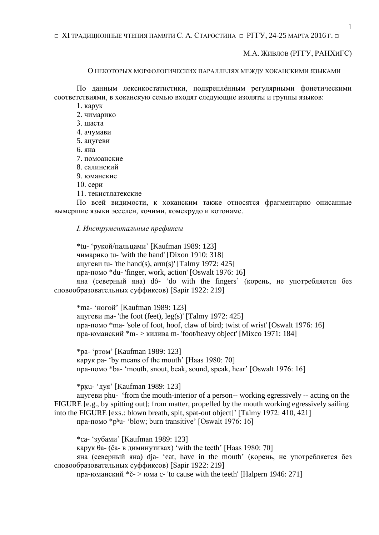$\Box$  XI ТРАДИЦИОННЫЕ ЧТЕНИЯ ПАМЯТИ С. А. СТАРОСТИНА  $\Box$  PГГУ, 24-25 МАРТА 2016 Г.  $\Box$ 

М.А. ЖИВЛОВ (РГГУ, РАНХИГС)

О НЕКОТОРЫХ МОРФОЛОГИЧЕСКИХ ПАРАЛЛЕЛЯХ МЕЖДУ ХОКАНСКИМИ ЯЗЫКАМИ

По данным лексикостатистики, подкреплённым регулярными фонетическими соответствиями, в хоканскую семью входят следующие изоляты и группы языков:

1. карук

2. чимарико

3. шаста

4. ачумави

5. ацугеви

6. яна

7. помоанские

8. салинский

9. юманские

10. сери

11. текистлатекские

По всей видимости, к хоканским также относятся фрагментарно описанные вымершие языки эсселен, кочими, комекрудо и котонаме.

*I. Инструментальные префиксы*

\*tu- 'рукой/пальцами' [Kaufman 1989: 123] чимарико tu- 'with the hand' [Dixon 1910: 318] ацугеви tu- 'the hand(s),  $arm(s)$ ' [Talmy 1972: 425] пра-помо \*du- 'finger, work, action' [Oswalt 1976: 16] яна (северный яна) dô- 'do with the fingers' (корень, не употребляется без

словообразовательных суффиксов) [Sapir 1922: 219]

\*ma- 'ногой' [Kaufman 1989: 123] ацугеви ma-'the foot (feet),  $leg(s)$ ' [Talmy 1972: 425] пра-помо \*ma- 'sole of foot, hoof, claw of bird; twist of wrist' [Oswalt 1976: 16] пра-юманский \*m- > килива m- 'foot/heavy object' [Mixco 1971: 184]

\*pa- 'ртом' [Kaufman 1989: 123] карук pa- 'by means of the mouth' [Haas 1980: 70] пра-помо \*ba- 'mouth, snout, beak, sound, speak, hear' [Oswalt 1976: 16]

\*px̣u- 'дуя' [Kaufman 1989: 123]

ацугеви phu- 'from the mouth-interior of a person-- working egressively -- acting on the FIGURE [e.g., by spitting out]; from matter, propelled by the mouth working egressively sailing into the FIGURE [exs.: blown breath, spit, spat-out object]' [Talmy 1972: 410, 421]

пра-помо \*pʰu- 'blow; burn transitive' [Oswalt 1976: 16]

\*ca- 'зубами' [Kaufman 1989: 123]

карук θa- (ča- в диминутивах) 'with the teeth' [Haas 1980: 70]

яна (северный яна) dja- 'eat, have in the mouth' (корень, не употребляется без словообразовательных суффиксов) [Sapir 1922: 219]

пра-юманский  $*$   $\varepsilon$  > юма c- 'to cause with the teeth' [Halpern 1946: 271]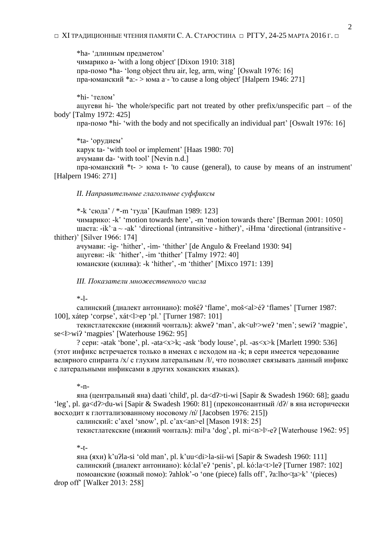\*ha- 'длинным предметом' чимарико a- 'with a long object' [Dixon 1910: 318] пра-помо \*ha- 'long object thru air, leg, arm, wing' [Oswalt 1976: 16] пра-юманский  $a:=\text{S}$  юма a - 'to cause a long object' [Halpern 1946: 271]

\*hi- 'телом'

ацугеви hi- 'the whole/specific part not treated by other prefix/unspecific part – of the body' [Talmy 1972: 425]

пра-помо \*hi- 'with the body and not specifically an individual part' [Oswalt 1976: 16]

\*ta- 'орудием' карук ta- 'with tool or implement' [Haas 1980: 70] ачумави da- 'with tool' [Nevin n.d.]

пра-юманский  $*$ t- > юма t- 'to cause (general), to cause by means of an instrument' [Halpern 1946: 271]

*II. Направительные глагольные суффиксы*

\*-k 'сюда' / \*-m 'туда' [Kaufman 1989: 123]

чимарико: -kʽ 'motion towards here', -m 'motion towards there' [Berman 2001: 1050] шаста: -ik' $a \sim -ak'$  'directional (intransitive - hither)', -iHma 'directional (intransitive thither)' [Silver 1966: 174]

ачумави: -ìg- 'hither', -ìm- 'thither' [de Angulo & Freeland 1930: 94] ацугеви: -ikˑ 'hither', -im 'thither' [Talmy 1972: 40] юманские (килива): -k 'hither', -m 'thither' [Mixco 1971: 139]

*III. Показатели множественного числа*

 $*_{-1-}$ 

салинский (диалект антониано): mošéʔ 'flame', moš<al>éʔ 'flames' [Turner 1987: 100], xátep 'corpse', xát<l>ep 'pl.' [Turner 1987: 101]

текистлатекские (нижний чонталь): akweʔ 'man', ak<ułʸ>weʔ 'men'; sewiʔ 'magpie', se<ł>wiʔ 'magpies' [Waterhouse 1962: 95]

? сери: -atak 'bone', pl. -ata<x>k; -ask 'body louse', pl. -as<x>k [Marlett 1990: 536] (этот инфикс встречается только в именах с исходом на -k; в сери имеется чередование велярного спиранта /x/ с глухим латеральным /ł/, что позволяет связывать данный инфикс с латеральными инфиксами в других хоканских языках).

\*-n-

яна (центральный яна) daati 'child', pl. da<dʔ>ti-wi [Sapir & Swadesh 1960: 68]; gaadu 'leg', pl. ga<dʔ>du-wi [Sapir & Swadesh 1960: 81] (преконсонантный /dʔ/ в яна исторически восходит к глоттализованному носовому /n̓/ [Jacobsen 1976: 215])

салинский: c'axel 'snow', pl. c'ax<an>el [Mason 1918: 25]

текистлатекские (нижний чонталь): mil<sup>y</sup>a 'dog', pl. mi<n>l<sup>y</sup>-e? [Waterhouse 1962: 95]

 $*_{-t-}$ 

яна (яхи) k'uʔla-si 'old man', pl. k'uu<di>la-sii-wi [Sapir & Swadesh 1960: 111] салинский (диалект антониано): kó:lal'eʔ 'penis', pl. kó:la<t>leʔ [Turner 1987: 102] помоанские (южный помо): ʔahlok'-o 'one (piece) falls off', ʔa:lho<t̯a>k' '(pieces)

drop off' [Walker 2013: 258]